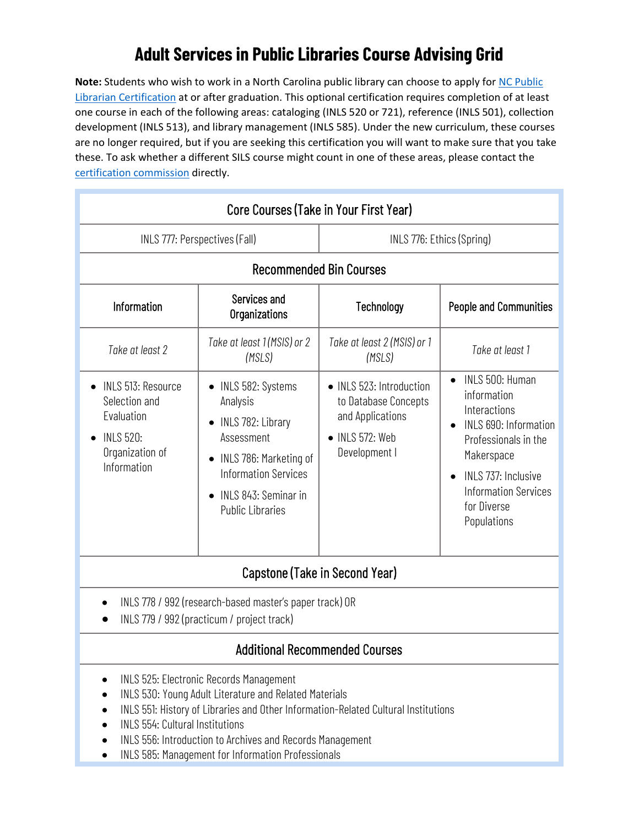## **Adult Services in Public Libraries Course Advising Grid**

**Note:** Students who wish to work in a North Carolina public library can choose to apply for [NC Public](https://statelibrary.ncdcr.gov/services-libraries/resources-library-staff/public-librarian-certification-commission#about)  [Librarian Certification](https://statelibrary.ncdcr.gov/services-libraries/resources-library-staff/public-librarian-certification-commission#about) at or after graduation. This optional certification requires completion of at least one course in each of the following areas: cataloging (INLS 520 or 721), reference (INLS 501), collection development (INLS 513), and library management (INLS 585). Under the new curriculum, these courses are no longer required, but if you are seeking this certification you will want to make sure that you take these. To ask whether a different SILS course might count in one of these areas, please contact the [certification commission](mailto:NC.certification.commission@ncdcr.gov) directly.

| Core Courses (Take in Your First Year)                                                                  |                                                                                                                                                                                           |                                                                                                        |                                                                                                                                                                                                   |
|---------------------------------------------------------------------------------------------------------|-------------------------------------------------------------------------------------------------------------------------------------------------------------------------------------------|--------------------------------------------------------------------------------------------------------|---------------------------------------------------------------------------------------------------------------------------------------------------------------------------------------------------|
| INLS 777: Perspectives (Fall)                                                                           |                                                                                                                                                                                           | INLS 776: Ethics (Spring)                                                                              |                                                                                                                                                                                                   |
| <b>Recommended Bin Courses</b>                                                                          |                                                                                                                                                                                           |                                                                                                        |                                                                                                                                                                                                   |
| Information                                                                                             | Services and<br>Organizations                                                                                                                                                             | Technology                                                                                             | <b>People and Communities</b>                                                                                                                                                                     |
| Take at least 2                                                                                         | Take at least 1 (MSIS) or 2<br>(MSLS)                                                                                                                                                     | Take at least 2 (MSIS) or 1<br>(MSLS)                                                                  | Take at least 1                                                                                                                                                                                   |
| INLS 513: Resource<br>Selection and<br>Evaluation<br><b>INLS 520:</b><br>Organization of<br>Information | INLS 582: Systems<br>Analysis<br>INLS 782: Library<br>Assessment<br>INLS 786: Marketing of<br><b>Information Services</b><br>INLS 843: Seminar in<br>$\bullet$<br><b>Public Libraries</b> | • INLS 523: Introduction<br>to Database Concepts<br>and Applications<br>INLS 572: Web<br>Development I | INLS 500: Human<br>information<br>Interactions<br>INLS 690: Information<br>Professionals in the<br>Makerspace<br>INLS 737: Inclusive<br><b>Information Services</b><br>for Diverse<br>Populations |
| Capstone (Take in Second Year)                                                                          |                                                                                                                                                                                           |                                                                                                        |                                                                                                                                                                                                   |

- INLS 778 / 992 (research-based master's paper track) OR
- INLS 779 / 992 (practicum / project track)

## Additional Recommended Courses

- INLS 525: Electronic Records Management
- INLS 530: Young Adult Literature and Related Materials
- INLS 551: History of Libraries and Other Information-Related Cultural Institutions
- INLS 554: Cultural Institutions
- INLS 556: Introduction to Archives and Records Management
- INLS 585: Management for Information Professionals